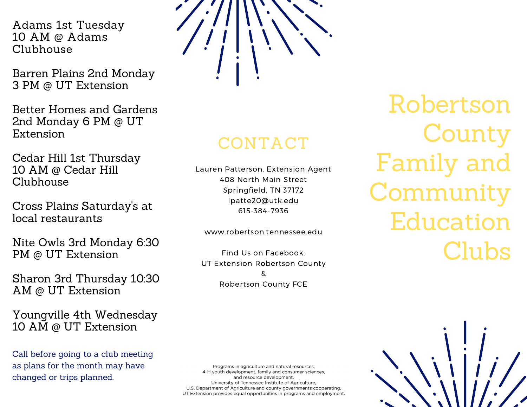Adams 1st Tuesday 10 AM @ Adams Clubhouse

Barren Plains 2nd Monday 3 PM @ UT Extension

Better Homes and Gardens 2nd Monday 6 PM @ UT Extension

Cedar Hill 1st Thursday 10 AM @ Cedar Hill Clubhouse

Cross Plains Saturday's at local restaurants

Nite Owls 3rd Monday 6:30 PM @ UT Extension

Sharon 3rd Thursday 10:30 AM @ UT Extension

Youngville 4th Wednesday 10 AM @ UT Extension

Call before going to a club meeting as plans for the month may have changed or trips planned.



## CONTACT

Lauren Patterson, Extension Agent 408 North Main Street Springfield, TN 37172 lpatte20@utk.edu 615-384-7936

www.robertson.tennessee.edu

Find Us on Facebook: UT Extension Robertson County & Robertson County FCE

Robertson **County** Family and Community Education Clubs

Programs in agriculture and natural resources, 4-H youth development, family and consumer sciences, and resource development. University of Tennessee Institute of Agriculture, U.S. Department of Agriculture and county governments cooperating. UT Extension provides equal opportunities in programs and employment.